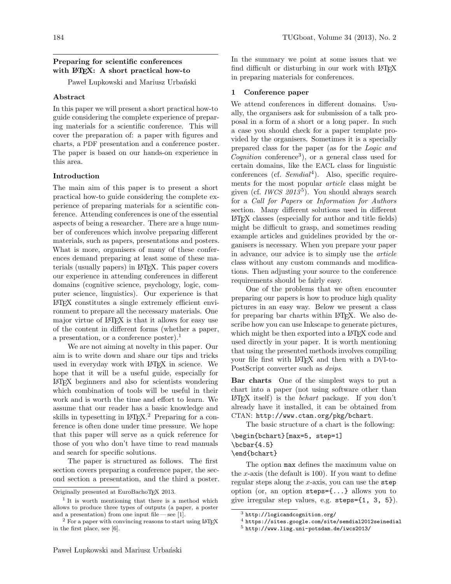# Preparing for scientific conferences with  $\text{LFT}X: A$  short practical how-to

Paweł Lupkowski and Mariusz Urbański

# Abstract

In this paper we will present a short practical how-to guide considering the complete experience of preparing materials for a scientific conference. This will cover the preparation of: a paper with figures and charts, a PDF presentation and a conference poster. The paper is based on our hands-on experience in this area.

#### Introduction

The main aim of this paper is to present a short practical how-to guide considering the complete experience of preparing materials for a scientific conference. Attending conferences is one of the essential aspects of being a researcher. There are a huge number of conferences which involve preparing different materials, such as papers, presentations and posters. What is more, organisers of many of these conferences demand preparing at least some of these materials (usually papers) in L<sup>A</sup>TEX. This paper covers our experience in attending conferences in different domains (cognitive science, psychology, logic, computer science, linguistics). Our experience is that L<sup>A</sup>TEX constitutes a single extremely efficient environment to prepare all the necessary materials. One major virtue of LAT<sub>EX</sub> is that it allows for easy use of the content in different forms (whether a paper, a presentation, or a conference poster).<sup>1</sup>

We are not aiming at novelty in this paper. Our aim is to write down and share our tips and tricks used in everyday work with LATEX in science. We hope that it will be a useful guide, especially for L<sup>A</sup>TEX beginners and also for scientists wondering which combination of tools will be useful in their work and is worth the time and effort to learn. We assume that our reader has a basic knowledge and skills in typesetting in L<sup>A</sup>TEX.<sup>2</sup> Preparing for a conference is often done under time pressure. We hope that this paper will serve as a quick reference for those of you who don't have time to read manuals and search for specific solutions.

The paper is structured as follows. The first section covers preparing a conference paper, the second section a presentation, and the third a poster. In the summary we point at some issues that we find difficult or disturbing in our work with LATEX in preparing materials for conferences.

### 1 Conference paper

We attend conferences in different domains. Usually, the organisers ask for submission of a talk proposal in a form of a short or a long paper. In such a case you should check for a paper template provided by the organisers. Sometimes it is a specially prepared class for the paper (as for the Logic and Cognition conference<sup>3</sup> ), or a general class used for certain domains, like the EACL class for linguistic conferences (cf. Semdial<sup>4</sup>). Also, specific requirements for the most popular article class might be given (cf. *IWCS 2013*<sup>5</sup>). You should always search for a Call for Papers or Information for Authors section. Many different solutions used in different L<sup>A</sup>TEX classes (especially for author and title fields) might be difficult to grasp, and sometimes reading example articles and guidelines provided by the organisers is necessary. When you prepare your paper in advance, our advice is to simply use the article class without any custom commands and modifications. Then adjusting your source to the conference requirements should be fairly easy.

One of the problems that we often encounter preparing our papers is how to produce high quality pictures in an easy way. Below we present a class for preparing bar charts within LAT<sub>EX</sub>. We also describe how you can use Inkscape to generate pictures, which might be then exported into a L<sup>AT</sup>EX code and used directly in your paper. It is worth mentioning that using the presented methods involves compiling your file first with L<sup>A</sup>TEX and then with a DVI-to-PostScript converter such as *dvips*.

Bar charts One of the simplest ways to put a chart into a paper (not using software other than  $\Delta E$ T<sub>E</sub>X itself) is the *bchart* package. If you don't already have it installed, it can be obtained from CTAN: http://www.ctan.org/pkg/bchart.

The basic structure of a chart is the following:

\begin{bchart}[max=5, step=1]  $\boldsymbol{\delta}$ \end{bchart}

The option max defines the maximum value on the x-axis (the default is  $100$ ). If you want to define regular steps along the  $x$ -axis, you can use the step option (or, an option steps={...} allows you to give irregular step values, e.g. steps={1, 3, 5}).

Originally presented at EuroBachoTEX 2013.

<sup>&</sup>lt;sup>1</sup> It is worth mentioning that there is a method which allows to produce three types of outputs (a paper, a poster and a presentation) from one input file — see [1].

<sup>2</sup> For a paper with convincing reasons to start using L<sup>A</sup>TEX in the first place, see [6].

<sup>3</sup> http://logicandcognition.org/

<sup>4</sup> https://sites.google.com/site/semdial2012seinedial

<sup>5</sup> http://www.ling.uni-potsdam.de/iwcs2013/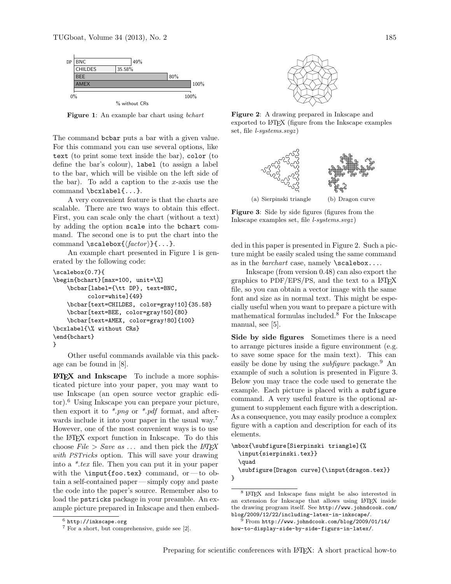

Figure 1: An example bar chart using bchart

The command bcbar puts a bar with a given value. For this command you can use several options, like text (to print some text inside the bar), color (to define the bar's colour), label (to assign a label to the bar, which will be visible on the left side of the bar). To add a caption to the  $x$ -axis use the command \bcxlabel{...}.

A very convenient feature is that the charts are scalable. There are two ways to obtain this effect. First, you can scale only the chart (without a text) by adding the option scale into the bchart command. The second one is to put the chart into the command \scalebox{ $\{factor\}$ {...}.

An example chart presented in Figure 1 is generated by the following code:

```
\scalebox{0.7}{
\begin{bchart}[max=100, unit=\%]
    \bcbar[label={\tt DP}, text=BNC,
          color=white]{49}
    \bcbar[text=CHILDES, color=gray!10]{35.58}
    \bcbar[text=BEE, color=gray!50]{80}
    \bcbar[text=AMEX, color=gray!80]{100}
\bcxlabel{\% without CRs}
\end{bchart}
}
```
Other useful commands available via this package can be found in [8].

 $\text{LFT}$  and Inkscape To include a more sophisticated picture into your paper, you may want to use Inkscape (an open source vector graphic editor).<sup>6</sup> Using Inkscape you can prepare your picture, then export it to  $*$ *png* or  $*$ *pdf* format, and afterwards include it into your paper in the usual way.<sup>7</sup> However, one of the most convenient ways is to use the L<sup>A</sup>TEX export function in Inkscape. To do this choose  $File > Save$  as ... and then pick the  $LATEX$ with PSTricks option. This will save your drawing into a \*.tex file. Then you can put it in your paper with the  $\infty$ .tex} command, or — to obtain a self-contained paper — simply copy and paste the code into the paper's source. Remember also to load the pstricks package in your preamble. An example picture prepared in Inkscape and then embed-



Figure 2: A drawing prepared in Inkscape and exported to L<sup>A</sup>TEX (figure from the Inkscape examples set, file *l-systems.svgz*)



Figure 3: Side by side figures (figures from the Inkscape examples set, file l-systems.svgz )

ded in this paper is presented in Figure 2. Such a picture might be easily scaled using the same command as in the *barchart* case, namely  $\succeq$  scalebox....

Inkscape (from version 0.48) can also export the graphics to  $PDF/EPS/PS$ , and the text to a  $$ file, so you can obtain a vector image with the same font and size as in normal text. This might be especially useful when you want to prepare a picture with mathematical formulas included.<sup>8</sup> For the Inkscape manual, see [5].

Side by side figures Sometimes there is a need to arrange pictures inside a figure environment (e.g. to save some space for the main text). This can easily be done by using the *subfigure* package.<sup>9</sup> An example of such a solution is presented in Figure 3. Below you may trace the code used to generate the example. Each picture is placed with a subfigure command. A very useful feature is the optional argument to supplement each figure with a description. As a consequence, you may easily produce a complex figure with a caption and description for each of its elements.

```
\mbox{\subfigure[Sierpinski triangle]{%
  \input{sierpinski.tex}}
  \quad
  \subfigure[Dragon curve]{\input{dragon.tex}}
}
```
 $6$  http://inkscape.org

<sup>7</sup> For a short, but comprehensive, guide see [2].

<sup>8</sup> <sup>L</sup><sup>A</sup>TEX and Inkscape fans might be also interested in an extension for Inkscape that allows using L<sup>A</sup>TEX inside the drawing program itself. See http://www.johndcook.com/ blog/2009/12/22/including-latex-in-inkscape/.

<sup>9</sup> From http://www.johndcook.com/blog/2009/01/14/ how-to-display-side-by-side-figurs-in-latex/.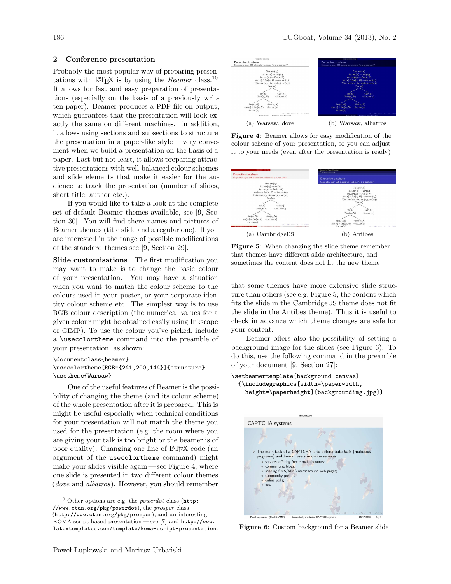#### 2 Conference presentation

Probably the most popular way of preparing presentations with LAT<sub>EX</sub> is by using the *Beamer* class.<sup>10</sup> It allows for fast and easy preparation of presentations (especially on the basis of a previously written paper). Beamer produces a PDF file on output, which guarantees that the presentation will look exactly the same on different machines. In addition, it allows using sections and subsections to structure the presentation in a paper-like style — very convenient when we build a presentation on the basis of a paper. Last but not least, it allows preparing attractive presentations with well-balanced colour schemes and slide elements that make it easier for the audience to track the presentation (number of slides, short title, author etc.).

If you would like to take a look at the complete set of default Beamer themes available, see [9, Section 30]. You will find there names and pictures of Beamer themes (title slide and a regular one). If you are interested in the range of possible modifications of the standard themes see [9, Section 29].

Slide customisations The first modification you may want to make is to change the basic colour of your presentation. You may have a situation when you want to match the colour scheme to the colours used in your poster, or your corporate identity colour scheme etc. The simplest way is to use RGB colour description (the numerical values for a given colour might be obtained easily using Inkscape or GIMP). To use the colour you've picked, include a \usecolortheme command into the preamble of your presentation, as shown:

#### \documentclass{beamer} \usecolortheme[RGB={241,200,144}]{structure} \usetheme{Warsaw}

One of the useful features of Beamer is the possibility of changing the theme (and its colour scheme) of the whole presentation after it is prepared. This is might be useful especially when technical conditions for your presentation will not match the theme you used for the presentation (e.g. the room where you are giving your talk is too bright or the beamer is of poor quality). Changing one line of L<sup>A</sup>TEX code (an argument of the usecolortheme command) might make your slides visible again — see Figure 4, where one slide is presented in two different colour themes (dove and albatros). However, you should remember



Figure 4: Beamer allows for easy modification of the colour scheme of your presentation, so you can adjust it to your needs (even after the presentation is ready)



Figure 5: When changing the slide theme remember that themes have different slide architecture, and sometimes the content does not fit the new theme

that some themes have more extensive slide structure than others (see e.g. Figure 5; the content which fits the slide in the CambridgeUS theme does not fit the slide in the Antibes theme). Thus it is useful to check in advance which theme changes are safe for your content.

Beamer offers also the possibility of setting a background image for the slides (see Figure 6). To do this, use the following command in the preamble of your document [9, Section 27]:

```
\setbeamertemplate{background canvas}
  {\includegraphics[width=\paperwidth,
   height=\paperheight]{backgroundimg.jpg}}
```


Figure 6: Custom background for a Beamer slide

 $10$  Other options are e.g. the *powerdot* class (http: //www.ctan.org/pkg/powerdot), the prosper class (http://www.ctan.org/pkg/prosper), and an interesting KOMA-script based presentation— see [7] and http://www. latextemplates.com/template/koma-script-presentation.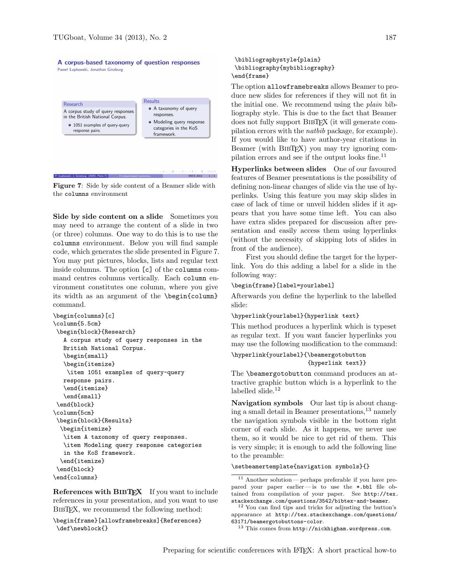#### A corpus-based taxonomy of question responses Paweł Łupkowski, Jonathan Ginzburg



IWCS 2013 1/1

Figure 7: Side by side content of a Beamer slide with the columns environment

Side by side content on a slide Sometimes you may need to arrange the content of a slide in two (or three) columns. One way to do this is to use the columns environment. Below you will find sample code, which generates the slide presented in Figure 7. You may put pictures, blocks, lists and regular text inside columns. The option [c] of the columns command centres columns vertically. Each column environment constitutes one column, where you give its width as an argument of the \begin{column} command.

```
\begin{columns}[c]
\column{5.5cm}
\begin{block}{Research}
   A corpus study of query responses in the
   British National Corpus.
   \begin{small}
   \begin{itemize}
    \item 1051 examples of query-query
   response pairs.
   \end{itemize}
   \end{small}
 \end{block}
\column{5cm}
 \begin{block}{Results}
  \begin{itemize}
   \item A taxonomy of query responses.
   \item Modeling query response categories
   in the KoS framework.
  \end{itemize}
 \end{block}
\end{columns}
```
References with BIBT<sub>EX</sub> If you want to include references in your presentation, and you want to use BIBT<sub>EX</sub>, we recommend the following method:

\begin{frame}[allowframebreaks]{References} \def\newblock{}

```
\bibliographystyle{plain}
\bibliography{mybibliography}
\end{frame}
```
The option allowframebreaks allows Beamer to produce new slides for references if they will not fit in the initial one. We recommend using the plain bibliography style. This is due to the fact that Beamer does not fully support BIBT<sub>EX</sub> (it will generate compilation errors with the natbib package, for example). If you would like to have author-year citations in Beamer (with BibTEX) you may try ignoring compilation errors and see if the output looks fine.<sup>11</sup>

Hyperlinks between slides One of our favoured features of Beamer presentations is the possibility of defining non-linear changes of slide via the use of hyperlinks. Using this feature you may skip slides in case of lack of time or unveil hidden slides if it appears that you have some time left. You can also have extra slides prepared for discussion after presentation and easily access them using hyperlinks (without the necessity of skipping lots of slides in front of the audience).

First you should define the target for the hyperlink. You do this adding a label for a slide in the following way:

#### \begin{frame}[label=yourlabel]

Afterwards you define the hyperlink to the labelled slide:

#### \hyperlink{yourlabel}{hyperlink text}

This method produces a hyperlink which is typeset as regular text. If you want fancier hyperlinks you may use the following modification to the command:

```
\hyperlink{yourlabel}{\beamergotobutton
                      {hyperlink text}}
```
The \beamergotobutton command produces an attractive graphic button which is a hyperlink to the labelled slide. $^{12}$ 

Navigation symbols Our last tip is about changing a small detail in Beamer presentations,<sup>13</sup> namely the navigation symbols visible in the bottom right corner of each slide. As it happens, we never use them, so it would be nice to get rid of them. This is very simple; it is enough to add the following line to the preamble:

#### \setbeamertemplate{navigation symbols}{}

<sup>11</sup> Another solution — perhaps preferable if you have prepared your paper earlier— is to use the \*.bbl file obtained from compilation of your paper. See http://tex. stackexchange.com/questions/3542/bibtex-and-beamer.

<sup>12</sup> You can find tips and tricks for adjusting the button's appearance at http://tex.stackexchange.com/questions/ 63171/beamergotobuttons-color.

<sup>13</sup> This comes from http://nickhigham.wordpress.com.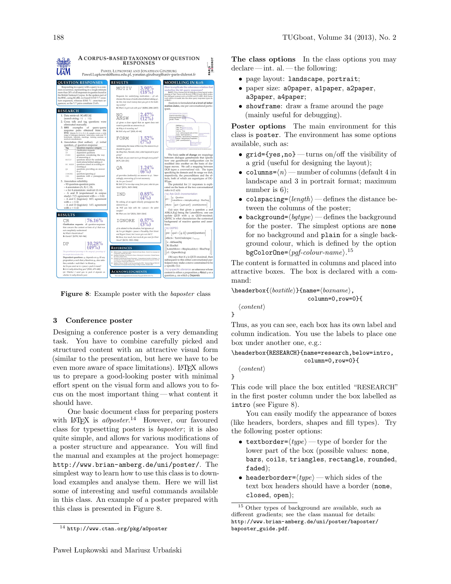

Figure 8: Example poster with the baposter class

# 3 Conference poster

Designing a conference poster is a very demanding task. You have to combine carefully picked and structured content with an attractive visual form (similar to the presentation, but here we have to be even more aware of space limitations). LAT<sub>EX</sub> allows us to prepare a good-looking poster with minimal effort spent on the visual form and allows you to focus on the most important thing — what content it should have.

One basic document class for preparing posters with  $L^2E[X]$  is  $a0poster.<sup>14</sup>$  However, our favoured class for typesetting posters is *baposter*; it is also quite simple, and allows for various modifications of a poster structure and appearance. You will find the manual and examples at the project homepage: http://www.brian-amberg.de/uni/poster/. The simplest way to learn how to use this class is to download examples and analyse them. Here we will list some of interesting and useful commands available in this class. An example of a poster prepared with this class is presented in Figure 8.

The class options In the class options you may declare— int. al. — the following:

- page layout: landscape, portrait;
- paper size: a0paper, a1paper, a2paper, a3paper, a4paper;
- showframe: draw a frame around the page (mainly useful for debugging).

Poster options The main environment for this class is poster. The environment has some options available, such as:

- grid={yes,no} turns on/off the visibility of a grid (useful for designing the layout);
- columns= $\langle n \rangle$  number of columns (default 4 in landscape and 3 in portrait format; maximum number is 6);
- colspacing= $\langle length \rangle$  defines the distance between the columns of the poster;
- background= $\langle bqtype \rangle$  defines the background for the poster. The simplest options are none for no background and plain for a single background colour, which is defined by the option  $\stackrel{\sim}{{\mathsf{bgColorOne}}}=\stackrel{\textcolor{red}{{\sqrt{\mathsf{g}}}}{f-color{g}}\textcolor{red}{f-color{g}}{colar-name}}.^{15}$

The content is formatted in columns and placed into attractive boxes. The box is declared with a command:

 $\heasuredangle{\sqrt{bortitle}}{fname={\overline{bormame}}},$ 

```
column=0,row=0}{
```
 $\langle content \rangle$ 

}

}

Thus, as you can see, each box has its own label and column indication. You use the labels to place one box under another one, e.g.:

\headerbox{RESEARCH}{name=research,below=intro, column=0,row=0}{

 $\langle content \rangle$ 

This code will place the box entitled "RESEARCH" in the first poster column under the box labelled as intro (see Figure 8).

You can easily modify the appearance of boxes (like headers, borders, shapes and fill types). Try the following poster options:

- textborder= $\langle type \rangle$  type of border for the lower part of the box (possible values: none, bars, coils, triangles, rectangle, rounded, faded);
- headerborder= $\langle type \rangle$  which sides of the text box headers should have a border (none, closed, open);

 $\frac{14 \text{ http://www.ctan.org/pkg/a0poster}}{}$ 

 $^{15}$  Other types of background are available, such as different gradients; see the class manual for details: http://www.brian-amberg.de/uni/poster/baposter/ baposter\_guide.pdf.